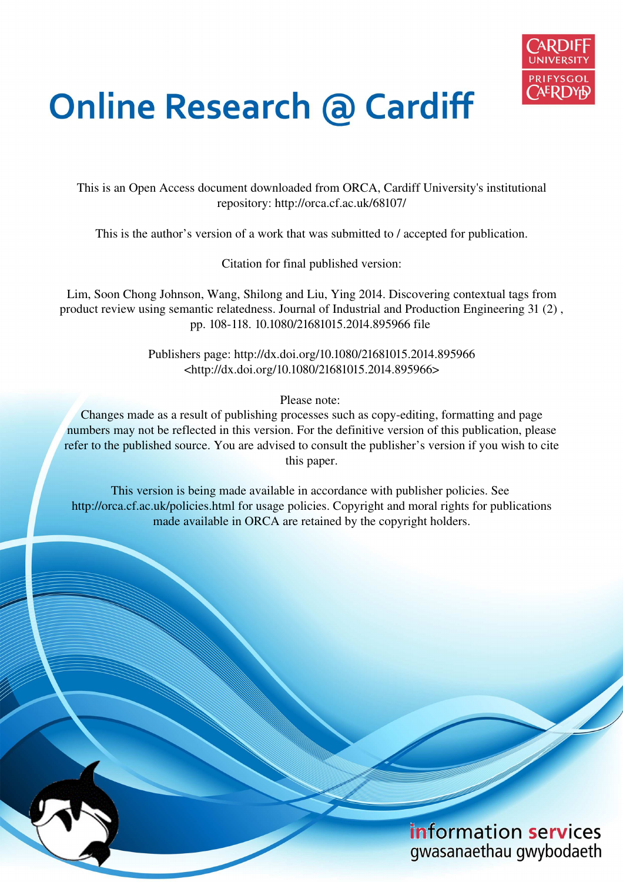

# **Online Research @ Cardiff**

This is an Open Access document downloaded from ORCA, Cardiff University's institutional repository: http://orca.cf.ac.uk/68107/

This is the author's version of a work that was submitted to / accepted for publication.

Citation for final published version:

Lim, Soon Chong Johnson, Wang, Shilong and Liu, Ying 2014. Discovering contextual tags from product review using semantic relatedness. Journal of Industrial and Production Engineering 31 (2) , pp. 108-118. 10.1080/21681015.2014.895966 file

> Publishers page: http://dx.doi.org/10.1080/21681015.2014.895966 <http://dx.doi.org/10.1080/21681015.2014.895966>

> > Please note:

Changes made as a result of publishing processes such as copy-editing, formatting and page numbers may not be reflected in this version. For the definitive version of this publication, please refer to the published source. You are advised to consult the publisher's version if you wish to cite this paper.

This version is being made available in accordance with publisher policies. See http://orca.cf.ac.uk/policies.html for usage policies. Copyright and moral rights for publications made available in ORCA are retained by the copyright holders.

# information services gwasanaethau gwybodaeth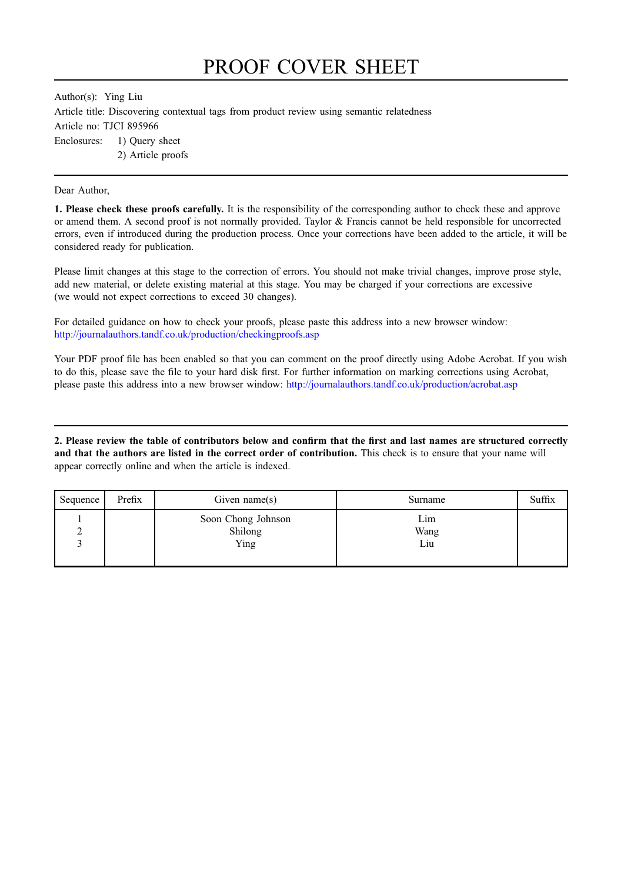# PROOF COVER SHEET

Author(s): Ying Liu Article title: Discovering contextual tags from product review using semantic relatedness Article no: TJCI 895966 Enclosures: 1) Query sheet 2) Article proofs

# Dear Author,

1. Please check these proofs carefully. It is the responsibility of the corresponding author to check these and approve or amend them. A second proof is not normally provided. Taylor & Francis cannot be held responsible for uncorrected errors, even if introduced during the production process. Once your corrections have been added to the article, it will be considered ready for publication.

Please limit changes at this stage to the correction of errors. You should not make trivial changes, improve prose style, add new material, or delete existing material at this stage. You may be charged if your corrections are excessive (we would not expect corrections to exceed 30 changes).

For detailed guidance on how to check your proofs, please paste this address into a new browser window: <http://journalauthors.tandf.co.uk/production/checkingproofs.asp>

Your PDF proof file has been enabled so that you can comment on the proof directly using Adobe Acrobat. If you wish to do this, please save the file to your hard disk first. For further information on marking corrections using Acrobat, please paste this address into a new browser window: <http://journalauthors.tandf.co.uk/production/acrobat.asp>

2. Please review the table of contributors below and confirm that the first and last names are structured correctly and that the authors are listed in the correct order of contribution. This check is to ensure that your name will appear correctly online and when the article is indexed.

| Sequence | Prefix | Given name $(s)$                      | Surname            | Suffix |
|----------|--------|---------------------------------------|--------------------|--------|
|          |        | Soon Chong Johnson<br>Shilong<br>Ying | Lim<br>Wang<br>Liu |        |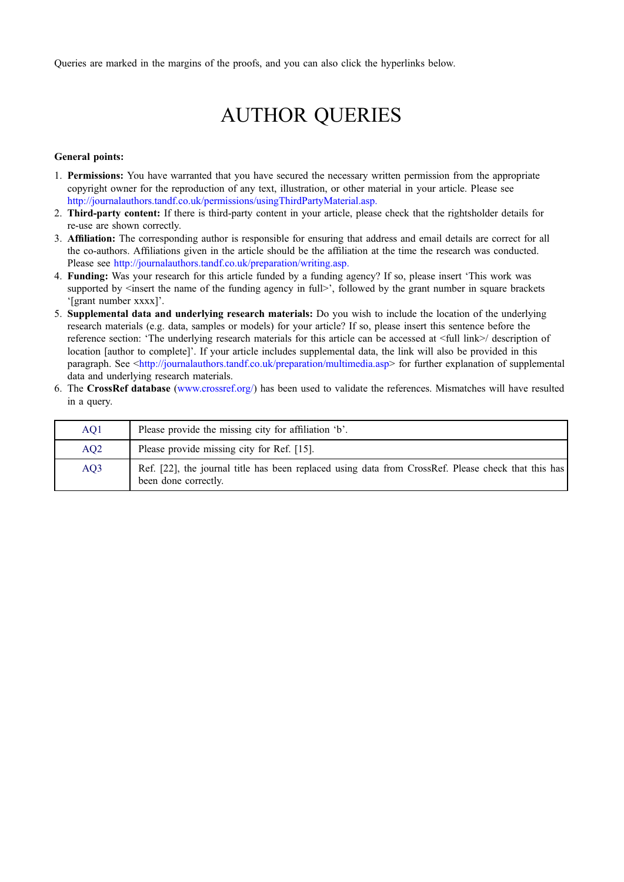<span id="page-2-0"></span>Queries are marked in the margins of the proofs, and you can also click the hyperlinks below.

# AUTHOR QUERIES

# General points:

- 1. Permissions: You have warranted that you have secured the necessary written permission from the appropriate copyright owner for the reproduction of any text, illustration, or other material in your article. Please see [http://journalauthors.tandf.co.uk/permissions/usingThirdPartyMaterial.asp.](http://journalauthors.tandf.co.uk/permissions/usingThirdPartyMaterial.asp)
- 2. Third-party content: If there is third-party content in your article, please check that the rightsholder details for re-use are shown correctly.
- 3. Affiliation: The corresponding author is responsible for ensuring that address and email details are correct for all the co-authors. Affiliations given in the article should be the affiliation at the time the research was conducted. Please see [http://journalauthors.tandf.co.uk/preparation/writing.asp.](http://journalauthors.tandf.co.uk/preparation/writing.asp)
- 4. Funding: Was your research for this article funded by a funding agency? If so, please insert 'This work was supported by <insert the name of the funding agency in full>', followed by the grant number in square brackets '[grant number xxxx]'.
- 5. Supplemental data and underlying research materials: Do you wish to include the location of the underlying research materials (e.g. data, samples or models) for your article? If so, please insert this sentence before the reference section: 'The underlying research materials for this article can be accessed at <full link>/ description of location [author to complete]'. If your article includes supplemental data, the link will also be provided in this paragraph. See <<http://journalauthors.tandf.co.uk/preparation/multimedia.asp>> for further explanation of supplemental data and underlying research materials.
- 6. The CrossRef database [\(www.crossref.org/](www.crossref.org/)) has been used to validate the references. Mismatches will have resulted in a query.

| AO1             | Please provide the missing city for affiliation 'b'.                                                                        |
|-----------------|-----------------------------------------------------------------------------------------------------------------------------|
| AO <sub>2</sub> | Please provide missing city for Ref. [15].                                                                                  |
| AQ3             | Ref. [22], the journal title has been replaced using data from CrossRef. Please check that this has<br>been done correctly. |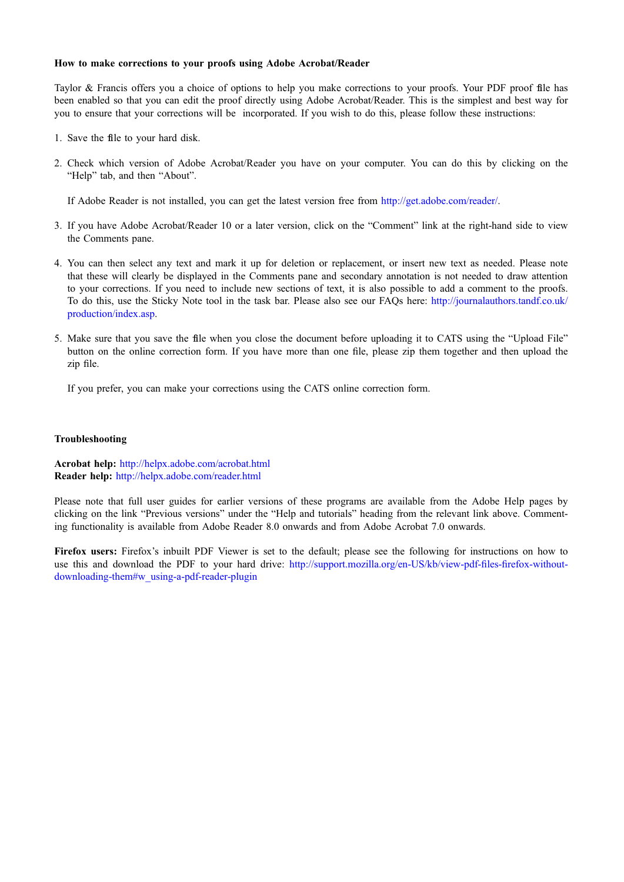# How to make corrections to your proofs using Adobe Acrobat/Reader

Taylor & Francis offers you a choice of options to help you make corrections to your proofs. Your PDF proof file has been enabled so that you can edit the proof directly using Adobe Acrobat/Reader. This is the simplest and best way for you to ensure that your corrections will be incorporated. If you wish to do this, please follow these instructions:

- 1. Save the file to your hard disk.
- 2. Check which version of Adobe Acrobat/Reader you have on your computer. You can do this by clicking on the "Help" tab, and then "About".

If Adobe Reader is not installed, you can get the latest version free from <http://get.adobe.com/reader/>.

- 3. If you have Adobe Acrobat/Reader 10 or a later version, click on the "Comment" link at the right-hand side to view the Comments pane.
- 4. You can then select any text and mark it up for deletion or replacement, or insert new text as needed. Please note that these will clearly be displayed in the Comments pane and secondary annotation is not needed to draw attention to your corrections. If you need to include new sections of text, it is also possible to add a comment to the proofs. To do this, use the Sticky Note tool in the task bar. Please also see our FAQs here: [http://journalauthors.tandf.co.uk/](http://journalauthors.tandf.co.uk/production/index.asp) [production/index.asp.](http://journalauthors.tandf.co.uk/production/index.asp)
- 5. Make sure that you save the file when you close the document before uploading it to CATS using the "Upload File" button on the online correction form. If you have more than one file, please zip them together and then upload the zip file.

If you prefer, you can make your corrections using the CATS online correction form.

# Troubleshooting

Acrobat help: <http://helpx.adobe.com/acrobat.html> Reader help: <http://helpx.adobe.com/reader.html>

Please note that full user guides for earlier versions of these programs are available from the Adobe Help pages by clicking on the link "Previous versions" under the "Help and tutorials" heading from the relevant link above. Commenting functionality is available from Adobe Reader 8.0 onwards and from Adobe Acrobat 7.0 onwards.

Firefox users: Firefox's inbuilt PDF Viewer is set to the default; please see the following for instructions on how to use this and download the PDF to your hard drive: [http://support.mozilla.org/en-US/kb/view-pdf-](http://support.mozilla.org/en-US/kb/view-pdf-files-firefox-without-downloading-them#w_using-a-pdf-reader-plugin)files-firefox-without[downloading-them#w\\_using-a-pdf-reader-plugin](http://support.mozilla.org/en-US/kb/view-pdf-files-firefox-without-downloading-them#w_using-a-pdf-reader-plugin)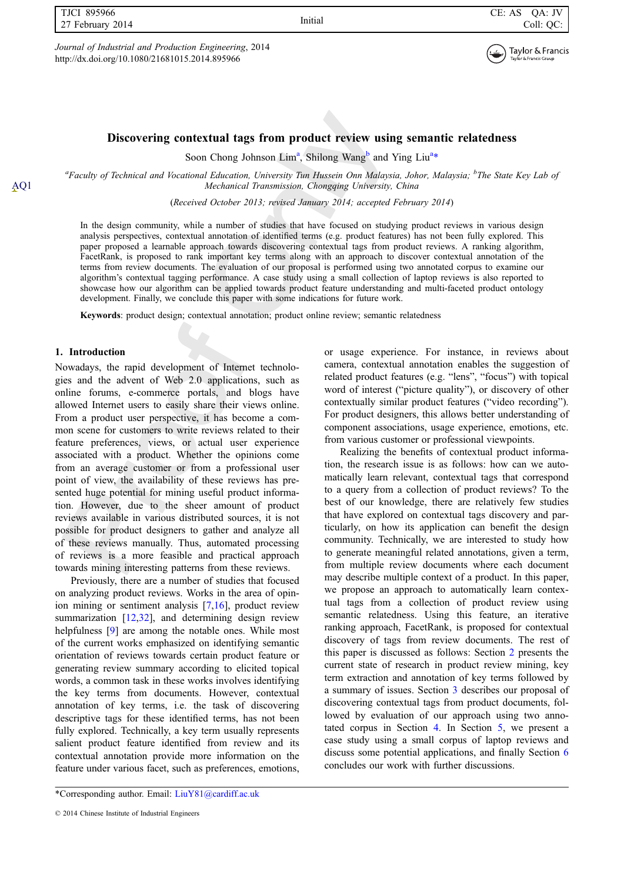<span id="page-4-0"></span>*Journal of Industrial and Production Engineering*, 2014 <http://dx.doi.org/10.1080/21681015.2014.895966>



# Discovering contextual tags from product review using semantic relatedness

Soon Chong Johnson Lim<sup>a</sup>, Shilong Wang<sup>b</sup> and Ying Liu<sup>a</sup>\*

*a Faculty of Technical and Vocational Education, University Tun Hussein Onn Malaysia, Johor, Malaysia; <sup>b</sup> The State Key Lab of Mechanical Transmission, Chongqing University, China*

(*Received October 2013; revised January 2014; accepted February 2014*)

In the design community, while a number of studies that have focused on studying product reviews in various design analysis perspectives, contextual annotation of identified terms (e.g. product features) has not been fully explored. This paper proposed a learnable approach towards discovering contextual tags from product reviews. A ranking algorithm, FacetRank, is proposed to rank important key terms along with an approach to discover contextual annotation of the terms from review documents. The evaluation of our proposal is performed using two annotated corpus to examine our algorithm's contextual tagging performance. A case study using a small collection of laptop reviews is also reported to showcase how our algorithm can be applied towards product feature understanding and multi-faceted product ontology development. Finally, we conclude this paper with some indications for future work.

Keywords: product design; contextual annotation; product online review; semantic relatedness

#### 1. Introduction

Nowadays, the rapid development of Internet technologies and the advent of Web 2.0 applications, such as online forums, e-commerce portals, and blogs have allowed Internet users to easily share their views online. From a product user perspective, it has become a common scene for customers to write reviews related to their feature preferences, views, or actual user experience associated with a product. Whether the opinions come from an average customer or from a professional user point of view, the availability of these reviews has presented huge potential for mining useful product information. However, due to the sheer amount of product reviews available in various distributed sources, it is not possible for product designers to gather and analyze all of these reviews manually. Thus, automated processing of reviews is a more feasible and practical approach towards mining interesting patterns from these reviews.

Previously, there are a number of studies that focused on analyzing product reviews. Works in the area of opinion mining or sentiment analysis [[7,16](#page-13-0)], product review summarization [\[12](#page-13-0),[32\]](#page-14-0), and determining design review helpfulness [[9\]](#page-13-0) are among the notable ones. While most of the current works emphasized on identifying semantic orientation of reviews towards certain product feature or generating review summary according to elicited topical words, a common task in these works involves identifying the key terms from documents. However, contextual annotation of key terms, i.e. the task of discovering descriptive tags for these identified terms, has not been fully explored. Technically, a key term usually represents salient product feature identified from review and its contextual annotation provide more information on the feature under various facet, such as preferences, emotions,

\*Corresponding author. Email: [LiuY81@cardiff.ac.uk](mailto:LiuY81@cardiff.ac.uk)

or usage experience. For instance, in reviews about camera, contextual annotation enables the suggestion of related product features (e.g. "lens", "focus") with topical word of interest ("picture quality"), or discovery of other contextually similar product features ("video recording"). For product designers, this allows better understanding of component associations, usage experience, emotions, etc. from various customer or professional viewpoints.

Realizing the benefits of contextual product information, the research issue is as follows: how can we automatically learn relevant, contextual tags that correspond to a query from a collection of product reviews? To the best of our knowledge, there are relatively few studies that have explored on contextual tags discovery and particularly, on how its application can benefit the design community. Technically, we are interested to study how to generate meaningful related annotations, given a term, from multiple review documents where each document may describe multiple context of a product. In this paper, we propose an approach to automatically learn contextual tags from a collection of product review using semantic relatedness. Using this feature, an iterative ranking approach, FacetRank, is proposed for contextual discovery of tags from review documents. The rest of this paper is discussed as follows: Section [2](#page-5-0) presents the current state of research in product review mining, key term extraction and annotation of key terms followed by a summary of issues. Section [3](#page-6-0) describes our proposal of discovering contextual tags from product documents, followed by evaluation of our approach using two annotated corpus in Section [4.](#page-8-0) In Section [5,](#page-10-0) we present a case study using a small corpus of laptop reviews and discuss some potential applications, and finally Section [6](#page-11-0) concludes our work with further discussions.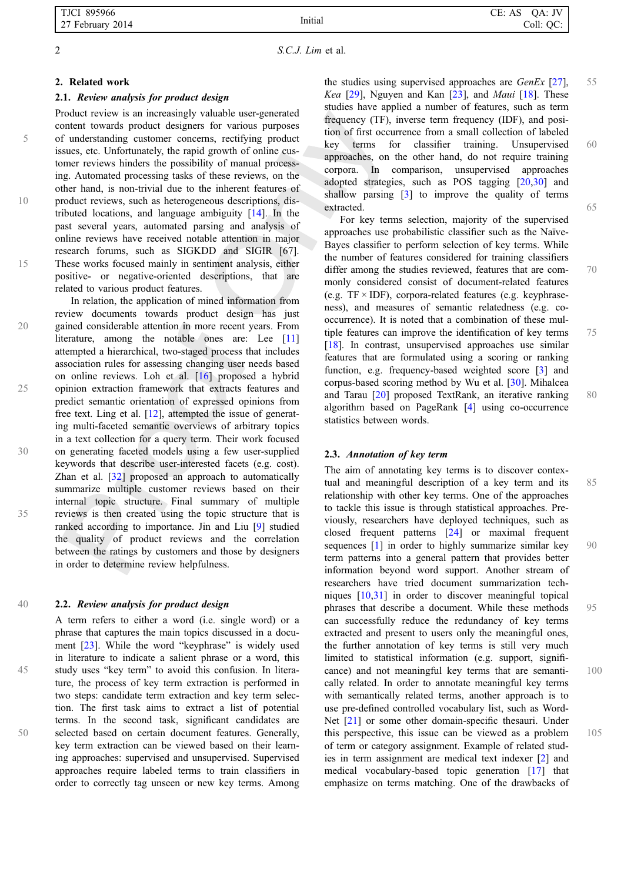# <span id="page-5-0"></span>2. Related work

# 2.1. Review analysis for product design

Product review is an increasingly valuable user-generated content towards product designers for various purposes 5 of understanding customer concerns, rectifying product issues, etc. Unfortunately, the rapid growth of online customer reviews hinders the possibility of manual processing. Automated processing tasks of these reviews, on the other hand, is non-trivial due to the inherent features of 10 product reviews, such as heterogeneous descriptions, distributed locations, and language ambiguity [[14\]](#page-13-0). In the past several years, automated parsing and analysis of online reviews have received notable attention in major research forums, such as SIGKDD and SIGIR [67]. 15 These works focused mainly in sentiment analysis, either positive- or negative-oriented descriptions, that are related to various product features.

In relation, the application of mined information from review documents towards product design has just 20 gained considerable attention in more recent years. From literature, among the notable ones are: Lee [[11](#page-13-0)] attempted a hierarchical, two-staged process that includes association rules for assessing changing user needs based on online reviews. Loh et al. [\[16](#page-13-0)] proposed a hybrid 25 opinion extraction framework that extracts features and predict semantic orientation of expressed opinions from free text. Ling et al. [\[12](#page-13-0)], attempted the issue of generating multi-faceted semantic overviews of arbitrary topics in a text collection for a query term. Their work focused 30 on generating faceted models using a few user-supplied keywords that describe user-interested facets (e.g. cost). Zhan et al. [\[32](#page-14-0)] proposed an approach to automatically summarize multiple customer reviews based on their internal topic structure. Final summary of multiple 35 reviews is then created using the topic structure that is ranked according to importance. Jin and Liu [[9\]](#page-13-0) studied the quality of product reviews and the correlation between the ratings by customers and those by designers in order to determine review helpfulness.

#### 40 2.2. Review analysis for product design

A term refers to either a word (i.e. single word) or a phrase that captures the main topics discussed in a docu-ment [\[23](#page-13-0)]. While the word "keyphrase" is widely used in literature to indicate a salient phrase or a word, this 45 study uses "key term" to avoid this confusion. In literature, the process of key term extraction is performed in two steps: candidate term extraction and key term selection. The first task aims to extract a list of potential terms. In the second task, significant candidates are 50 selected based on certain document features. Generally, key term extraction can be viewed based on their learning approaches: supervised and unsupervised. Supervised approaches require labeled terms to train classifiers in order to correctly tag unseen or new key terms. Among

the studies using supervised approaches are *GenEx* [[27\]](#page-13-0), 55 *Kea* [\[29](#page-14-0)], Nguyen and Kan [[23\]](#page-13-0), and *Maui* [\[18](#page-13-0)]. These studies have applied a number of features, such as term frequency (TF), inverse term frequency (IDF), and position of first occurrence from a small collection of labeled key terms for classifier training. Unsupervised 60 approaches, on the other hand, do not require training corpora. In comparison, unsupervised approaches adopted strategies, such as POS tagging [\[20](#page-13-0),[30\]](#page-14-0) and shallow parsing  $\begin{bmatrix} 3 \end{bmatrix}$  to improve the quality of terms extracted. 65

For key terms selection, majority of the supervised approaches use probabilistic classifier such as the Naïve-Bayes classifier to perform selection of key terms. While the number of features considered for training classifiers differ among the studies reviewed, features that are com-  $70$ monly considered consist of document-related features (e.g.  $TF \times IDF$ ), corpora-related features (e.g. keyphraseness), and measures of semantic relatedness (e.g. cooccurrence). It is noted that a combination of these multiple features can improve the identification of key terms 75 [[18\]](#page-13-0). In contrast, unsupervised approaches use similar features that are formulated using a scoring or ranking function, e.g. frequency-based weighted score [\[3](#page-13-0)] and corpus-based scoring method by Wu et al. [\[30](#page-14-0)]. Mihalcea and Tarau [\[20](#page-13-0)] proposed TextRank, an iterative ranking 80 algorithm based on PageRank [\[4](#page-13-0)] using co-occurrence statistics between words.

# 2.3. Annotation of key term

The aim of annotating key terms is to discover contextual and meaningful description of a key term and its 85 relationship with other key terms. One of the approaches to tackle this issue is through statistical approaches. Previously, researchers have deployed techniques, such as closed frequent patterns [\[24](#page-13-0)] or maximal frequent sequences [\[1](#page-13-0)] in order to highly summarize similar key 90 term patterns into a general pattern that provides better information beyond word support. Another stream of researchers have tried document summarization techniques [[10](#page-13-0)[,31](#page-14-0)] in order to discover meaningful topical phrases that describe a document. While these methods 95 can successfully reduce the redundancy of key terms extracted and present to users only the meaningful ones, the further annotation of key terms is still very much limited to statistical information (e.g. support, significance) and not meaningful key terms that are semanti-<br>100 cally related. In order to annotate meaningful key terms with semantically related terms, another approach is to use pre-defined controlled vocabulary list, such as Word-Net [[21\]](#page-13-0) or some other domain-specific thesauri. Under this perspective, this issue can be viewed as a problem 105 of term or category assignment. Example of related studies in term assignment are medical text indexer [[2\]](#page-13-0) and medical vocabulary-based topic generation [[17\]](#page-13-0) that emphasize on terms matching. One of the drawbacks of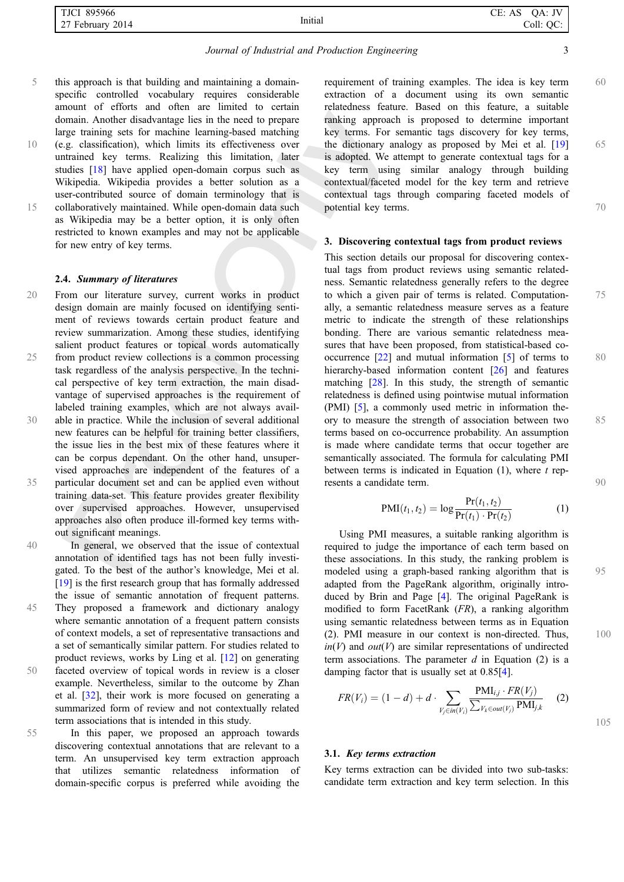<span id="page-6-0"></span>

| 895966<br>JC.<br>-<br>Inıtıal<br>2014<br>$\sim$<br>ebruary<br>- | $\bf{L}$<br>$\sim$ $\sim$<br>$\mathbf{A}$<br>ъ.<br>. כי ער<br>تتلب<br>.، ، ب<br>∩∩<br>Coll: |
|-----------------------------------------------------------------|---------------------------------------------------------------------------------------------|
|-----------------------------------------------------------------|---------------------------------------------------------------------------------------------|

#### *Journal of Industrial and Production Engineering* 3

5 this approach is that building and maintaining a domainspecific controlled vocabulary requires considerable amount of efforts and often are limited to certain domain. Another disadvantage lies in the need to prepare large training sets for machine learning-based matching 10 (e.g. classification), which limits its effectiveness over untrained key terms. Realizing this limitation, later studies [\[18](#page-13-0)] have applied open-domain corpus such as Wikipedia. Wikipedia provides a better solution as a user-contributed source of domain terminology that is 15 collaboratively maintained. While open-domain data such as Wikipedia may be a better option, it is only often restricted to known examples and may not be applicable for new entry of key terms.

#### 2.4. Summary of literatures

20 From our literature survey, current works in product design domain are mainly focused on identifying sentiment of reviews towards certain product feature and review summarization. Among these studies, identifying salient product features or topical words automatically 25 from product review collections is a common processing task regardless of the analysis perspective. In the technical perspective of key term extraction, the main disadvantage of supervised approaches is the requirement of labeled training examples, which are not always avail-30 able in practice. While the inclusion of several additional new features can be helpful for training better classifiers,

the issue lies in the best mix of these features where it can be corpus dependant. On the other hand, unsupervised approaches are independent of the features of a 35 particular document set and can be applied even without training data-set. This feature provides greater flexibility over supervised approaches. However, unsupervised approaches also often produce ill-formed key terms without significant meanings.

40 In general, we observed that the issue of contextual annotation of identified tags has not been fully investigated. To the best of the author's knowledge, Mei et al. [[19\]](#page-13-0) is the first research group that has formally addressed the issue of semantic annotation of frequent patterns. 45 They proposed a framework and dictionary analogy where semantic annotation of a frequent pattern consists of context models, a set of representative transactions and a set of semantically similar pattern. For studies related to product reviews, works by Ling et al. [[12\]](#page-13-0) on generating 50 faceted overview of topical words in review is a closer example. Nevertheless, similar to the outcome by Zhan et al. [[32\]](#page-14-0), their work is more focused on generating a summarized form of review and not contextually related term associations that is intended in this study.

55 In this paper, we proposed an approach towards discovering contextual annotations that are relevant to a term. An unsupervised key term extraction approach that utilizes semantic relatedness information of domain-specific corpus is preferred while avoiding the

requirement of training examples. The idea is key term 60 extraction of a document using its own semantic relatedness feature. Based on this feature, a suitable ranking approach is proposed to determine important key terms. For semantic tags discovery for key terms, the dictionary analogy as proposed by Mei et al. [[19](#page-13-0)] 65 is adopted. We attempt to generate contextual tags for a key term using similar analogy through building contextual/faceted model for the key term and retrieve contextual tags through comparing faceted models of potential key terms. 70

# 3. Discovering contextual tags from product reviews

This section details our proposal for discovering contextual tags from product reviews using semantic relatedness. Semantic relatedness generally refers to the degree to which a given pair of terms is related. Computation- 75 ally, a semantic relatedness measure serves as a feature metric to indicate the strength of these relationships bonding. There are various semantic relatedness measures that have been proposed, from statistical-based cooccurrence  $[22]$  $[22]$  and mutual information  $[5]$  $[5]$  of terms to 80 hierarchy-based information content [\[26](#page-13-0)] and features matching [\[28](#page-14-0)]. In this study, the strength of semantic relatedness is defined using pointwise mutual information (PMI) [\[5](#page-13-0)], a commonly used metric in information theory to measure the strength of association between two 85 terms based on co-occurrence probability. An assumption is made where candidate terms that occur together are semantically associated. The formula for calculating PMI between terms is indicated in Equation (1), where *t* represents a candidate term. 90

$$
PMI(t_1, t_2) = \log \frac{Pr(t_1, t_2)}{Pr(t_1) \cdot Pr(t_2)}
$$
 (1)

Using PMI measures, a suitable ranking algorithm is required to judge the importance of each term based on these associations. In this study, the ranking problem is modeled using a graph-based ranking algorithm that is 95 adapted from the PageRank algorithm, originally introduced by Brin and Page [[4\]](#page-13-0). The original PageRank is modified to form FacetRank (*FR*), a ranking algorithm using semantic relatedness between terms as in Equation (2). PMI measure in our context is non-directed. Thus, 100  $in(V)$  and  $out(V)$  are similar representations of undirected term associations. The parameter  $d$  in Equation (2) is a damping factor that is usually set at 0.85[\[4](#page-13-0)].

$$
FR(V_i) = (1-d) + d \cdot \sum_{V_j \in in(V_i)} \frac{\text{PMI}_{ij} \cdot FR(V_j)}{\sum_{V_k \in out(V_j)} \text{PMI}_{j,k}} \tag{2}
$$

# 3.1. Key terms extraction

Key terms extraction can be divided into two sub-tasks: candidate term extraction and key term selection. In this

105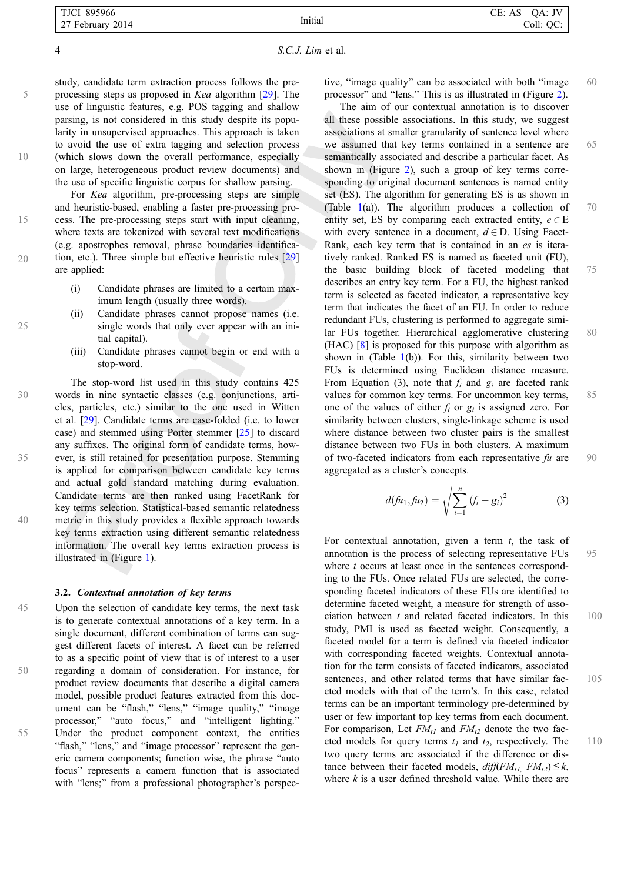| 895966<br><b>TJCI</b><br>$\gamma$<br>2014<br>February<br>$\sim$ 1 | Initial | $-$<br>$\cap$ $\Gamma$ .<br>OA:<br>Δ,<br>. س<br>OC.<br>Coll: |
|-------------------------------------------------------------------|---------|--------------------------------------------------------------|
|                                                                   |         |                                                              |

4 *S.C.J. Lim* et al.

20

5 processing steps as proposed in *Kea* algorithm [[29\]](#page-14-0). The use of linguistic features, e.g. POS tagging and shallow parsing, is not considered in this study despite its popularity in unsupervised approaches. This approach is taken to avoid the use of extra tagging and selection process 10 (which slows down the overall performance, especially on large, heterogeneous product review documents) and the use of specific linguistic corpus for shallow parsing.

For *Kea* algorithm, pre-processing steps are simple and heuristic-based, enabling a faster pre-processing pro-15 cess. The pre-processing steps start with input cleaning, where texts are tokenized with several text modifications (e.g. apostrophes removal, phrase boundaries identification, etc.). Three simple but effective heuristic rules [\[29](#page-14-0)] are applied:

study, candidate term extraction process follows the pre-

- (i) Candidate phrases are limited to a certain maximum length (usually three words).
- (ii) Candidate phrases cannot propose names (i.e. 25 single words that only ever appear with an initial capital).
	- (iii) Candidate phrases cannot begin or end with a stop-word.

The stop-word list used in this study contains 425 30 words in nine syntactic classes (e.g. conjunctions, articles, particles, etc.) similar to the one used in Witten et al. [[29\]](#page-14-0). Candidate terms are case-folded (i.e. to lower case) and stemmed using Porter stemmer [[25\]](#page-13-0) to discard any suffixes. The original form of candidate terms, how-35 ever, is still retained for presentation purpose. Stemming is applied for comparison between candidate key terms and actual gold standard matching during evaluation. Candidate terms are then ranked using FacetRank for key terms selection. Statistical-based semantic relatedness 40 metric in this study provides a flexible approach towards key terms extraction using different semantic relatedness information. The overall key terms extraction process is illustrated in (Figure [1](#page-8-0)).

# 3.2. Contextual annotation of key terms

45 Upon the selection of candidate key terms, the next task is to generate contextual annotations of a key term. In a single document, different combination of terms can suggest different facets of interest. A facet can be referred to as a specific point of view that is of interest to a user 50 regarding a domain of consideration. For instance, for product review documents that describe a digital camera model, possible product features extracted from this document can be "flash," "lens," "image quality," "image processor," "auto focus," and "intelligent lighting." 55 Under the product component context, the entities "flash," "lens," and "image processor" represent the generic camera components; function wise, the phrase "auto focus" represents a camera function that is associated with "lens;" from a professional photographer's perspective, "image quality" can be associated with both "image 60 processor" and "lens." This is as illustrated in (Figure [2](#page-8-0)).

The aim of our contextual annotation is to discover all these possible associations. In this study, we suggest associations at smaller granularity of sentence level where we assumed that key terms contained in a sentence are 65 semantically associated and describe a particular facet. As shown in (Figure [2](#page-8-0)), such a group of key terms corresponding to original document sentences is named entity set (ES). The algorithm for generating ES is as shown in (Table  $1(a)$  $1(a)$ ). The algorithm produces a collection of 70 entity set, ES by comparing each extracted entity,  $e \in E$ with every sentence in a document,  $d \in D$ . Using Facet-Rank, each key term that is contained in an *es* is iteratively ranked. Ranked ES is named as faceted unit (FU), the basic building block of faceted modeling that 75 describes an entry key term. For a FU, the highest ranked term is selected as faceted indicator, a representative key term that indicates the facet of an FU. In order to reduce redundant FUs, clustering is performed to aggregate similar FUs together. Hierarchical agglomerative clustering 80 (HAC) [[8\]](#page-13-0) is proposed for this purpose with algorithm as shown in (Table  $1(b)$  $1(b)$ ). For this, similarity between two FUs is determined using Euclidean distance measure. From Equation (3), note that  $f_i$  and  $g_i$  are faceted rank values for common key terms. For uncommon key terms, 85 one of the values of either  $f_i$  or  $g_i$  is assigned zero. For similarity between clusters, single-linkage scheme is used where distance between two cluster pairs is the smallest distance between two FUs in both clusters. A maximum of two-faceted indicators from each representative *fu* are 90 aggregated as a cluster's concepts.

$$
d(fu_1, fu_2) = \sqrt{\sum_{i=1}^{n} (f_i - g_i)^2}
$$
 (3)

For contextual annotation, given a term *t*, the task of annotation is the process of selecting representative FUs 95 where *t* occurs at least once in the sentences corresponding to the FUs. Once related FUs are selected, the corresponding faceted indicators of these FUs are identified to determine faceted weight, a measure for strength of association between *t* and related faceted indicators. In this 100 study, PMI is used as faceted weight. Consequently, a faceted model for a term is defined via faceted indicator with corresponding faceted weights. Contextual annotation for the term consists of faceted indicators, associated sentences, and other related terms that have similar fac- 105 eted models with that of the term's. In this case, related terms can be an important terminology pre-determined by user or few important top key terms from each document. For comparison, Let  $FM_{t1}$  and  $FM_{t2}$  denote the two faceted models for query terms  $t_1$  and  $t_2$ , respectively. The 110 two query terms are associated if the difference or distance between their faceted models,  $diff(FM_{t1}, FM_{t2}) \leq k$ , where *k* is a user defined threshold value. While there are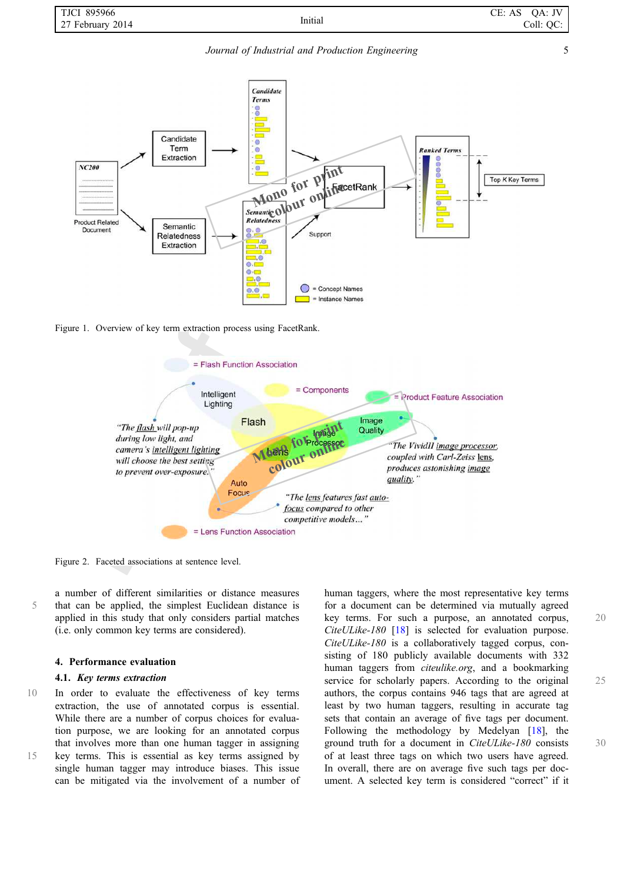<span id="page-8-0"></span>

| TJCI 895966      |         | - TV<br>CE: AS<br>$OA: J \setminus$ |
|------------------|---------|-------------------------------------|
| 27 February 2014 | Initial | Coll: OC:                           |

# *Journal of Industrial and Production Engineering* 5



Figure 1. Overview of key term extraction process using FacetRank.



Figure 2. Faceted associations at sentence level.

a number of different similarities or distance measures 5 that can be applied, the simplest Euclidean distance is applied in this study that only considers partial matches (i.e. only common key terms are considered).

# 4. Performance evaluation

#### 4.1. Key terms extraction

10 In order to evaluate the effectiveness of key terms extraction, the use of annotated corpus is essential. While there are a number of corpus choices for evaluation purpose, we are looking for an annotated corpus that involves more than one human tagger in assigning 15 key terms. This is essential as key terms assigned by single human tagger may introduce biases. This issue can be mitigated via the involvement of a number of human taggers, where the most representative key terms for a document can be determined via mutually agreed key terms. For such a purpose, an annotated corpus, 20 *CiteULike-180* [\[18](#page-13-0)] is selected for evaluation purpose. *CiteULike-180* is a collaboratively tagged corpus, consisting of 180 publicly available documents with 332 human taggers from *citeulike.org*, and a bookmarking service for scholarly papers. According to the original 25 authors, the corpus contains 946 tags that are agreed at least by two human taggers, resulting in accurate tag sets that contain an average of five tags per document. Following the methodology by Medelyan [\[18](#page-13-0)], the ground truth for a document in *CiteULike-180* consists 30 of at least three tags on which two users have agreed. In overall, there are on average five such tags per document. A selected key term is considered "correct" if it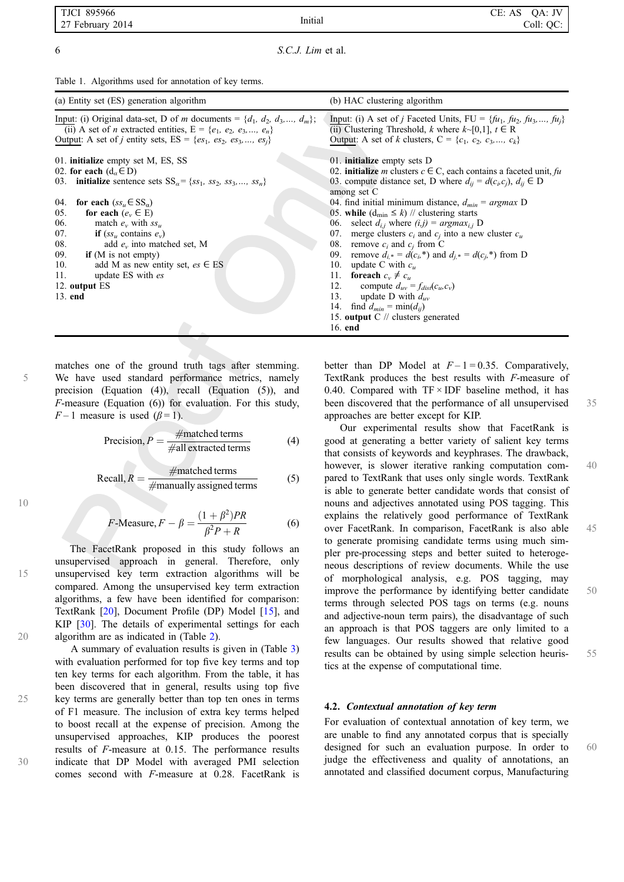<span id="page-9-0"></span>6 *S.C.J. Lim* et al.

Table 1. Algorithms used for annotation of key terms.

| (b) HAC clustering algorithm                                                                                                                                                                                    |  |
|-----------------------------------------------------------------------------------------------------------------------------------------------------------------------------------------------------------------|--|
| Input: (i) A set of j Faceted Units, FU = $\{fu_1, fu_2, fu_3, , fu_i\}$<br>(ii) Clustering Threshold, k where $k\sim$ [0,1], $t \in \mathbb{R}$<br>Output: A set of k clusters, $C = \{c_1, c_2, c_3, , c_k\}$ |  |
| 01. <b>initialize</b> empty sets D                                                                                                                                                                              |  |
| 02. <b>initialize</b> <i>m</i> clusters $c \in C$ , each contains a faceted unit, fu                                                                                                                            |  |
| 03. compute distance set, D where $d_{ij} = d(c_i, c_j)$ , $d_{ij} \in D$<br>among set C                                                                                                                        |  |
| 04. find initial minimum distance, $d_{min} = argmax D$                                                                                                                                                         |  |
| 05. while $(d_{\min} \leq k)$ // clustering starts                                                                                                                                                              |  |
| 06. select $d_{i,j}$ where $(i,j) = argmax_{i,j} D$                                                                                                                                                             |  |
| 07. merge clusters $c_i$ and $c_j$ into a new cluster $c_u$                                                                                                                                                     |  |
| 08. remove $c_i$ and $c_j$ from C                                                                                                                                                                               |  |
| 09. remove $d_{i*} = d(c_i*)$ and $d_{i*} = d(c_i*)$ from D                                                                                                                                                     |  |
| 10. update C with $c_u$                                                                                                                                                                                         |  |
| 11. <b>foreach</b> $c_v \neq c_u$                                                                                                                                                                               |  |
| 12.<br>compute $d_{uv} = f_{dist}(c_u, c_v)$                                                                                                                                                                    |  |
| 13.<br>update D with $d_{uv}$                                                                                                                                                                                   |  |
| 14. find $d_{min} = min(d_{ii})$                                                                                                                                                                                |  |
| 15. output $C \,$ // clusters generated                                                                                                                                                                         |  |
| 16. end                                                                                                                                                                                                         |  |
|                                                                                                                                                                                                                 |  |

matches one of the ground truth tags after stemming. 5 We have used standard performance metrics, namely precision (Equation (4)), recall (Equation (5)), and *F*-measure (Equation (6)) for evaluation. For this study, *F* – 1 measure is used ( $\beta$  = 1).

Precision, 
$$
P = \frac{\# \text{matched terms}}{\# \text{all extracted terms}}
$$
 (4)

Recall, 
$$
R = \frac{\# \text{matched terms}}{\# \text{manually assigned terms}}
$$
 (5)

10

$$
F\text{-Measure}, F - \beta = \frac{(1 + \beta^2)PR}{\beta^2 P + R}
$$
 (6)

The FacetRank proposed in this study follows an unsupervised approach in general. Therefore, only 15 unsupervised key term extraction algorithms will be compared. Among the unsupervised key term extraction algorithms, a few have been identified for comparison: TextRank [[20\]](#page-13-0), Document Profile (DP) Model [\[15](#page-13-0)], and KIP [\[30](#page-14-0)]. The details of experimental settings for each 20 algorithm are as indicated in (Table [2\)](#page-10-0).

A summary of evaluation results is given in (Table [3](#page-10-0)) with evaluation performed for top five key terms and top ten key terms for each algorithm. From the table, it has been discovered that in general, results using top five 25 key terms are generally better than top ten ones in terms of F1 measure. The inclusion of extra key terms helped to boost recall at the expense of precision. Among the unsupervised approaches, KIP produces the poorest results of *F*-measure at 0.15. The performance results 30 indicate that DP Model with averaged PMI selection comes second with *F*-measure at 0.28. FacetRank is

better than DP Model at  $F - 1 = 0.35$ . Comparatively, TextRank produces the best results with *F*-measure of 0.40. Compared with  $TF \times IDF$  baseline method, it has been discovered that the performance of all unsupervised 35 approaches are better except for KIP.

Our experimental results show that FacetRank is good at generating a better variety of salient key terms that consists of keywords and keyphrases. The drawback, however, is slower iterative ranking computation com- 40 pared to TextRank that uses only single words. TextRank is able to generate better candidate words that consist of nouns and adjectives annotated using POS tagging. This explains the relatively good performance of TextRank over FacetRank. In comparison, FacetRank is also able 45 to generate promising candidate terms using much simpler pre-processing steps and better suited to heterogeneous descriptions of review documents. While the use of morphological analysis, e.g. POS tagging, may improve the performance by identifying better candidate 50 terms through selected POS tags on terms (e.g. nouns and adjective-noun term pairs), the disadvantage of such an approach is that POS taggers are only limited to a few languages. Our results showed that relative good results can be obtained by using simple selection heuris- 55 tics at the expense of computational time.

## 4.2. Contextual annotation of key term

For evaluation of contextual annotation of key term, we are unable to find any annotated corpus that is specially designed for such an evaluation purpose. In order to 60 judge the effectiveness and quality of annotations, an annotated and classified document corpus, Manufacturing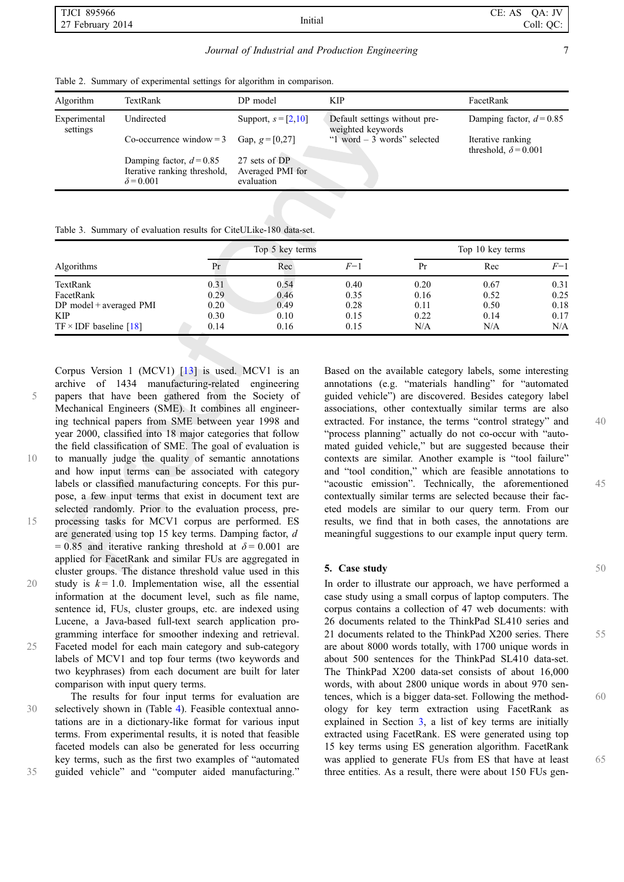# *Journal of Industrial and Production Engineering* 7

<span id="page-10-0"></span>

|  | Table 2. Summary of experimental settings for algorithm in comparison. |  |  |
|--|------------------------------------------------------------------------|--|--|
|  |                                                                        |  |  |

| Algorithm                | TextRank                                                                       | DP model                                        | <b>KIP</b>                                         | FacetRank                                        |
|--------------------------|--------------------------------------------------------------------------------|-------------------------------------------------|----------------------------------------------------|--------------------------------------------------|
| Experimental<br>settings | Undirected                                                                     | Support, $s = [2, 10]$                          | Default settings without pre-<br>weighted keywords | Damping factor, $d = 0.85$                       |
|                          | Co-occurrence window = $3$                                                     | Gap, $g = [0, 27]$                              | " $1$ word $-3$ words" selected                    | Iterative ranking<br>threshold, $\delta$ = 0.001 |
|                          | Damping factor, $d = 0.85$<br>Iterative ranking threshold,<br>$\delta$ = 0.001 | 27 sets of DP<br>Averaged PMI for<br>evaluation |                                                    |                                                  |

Table 3. Summary of evaluation results for CiteULike-180 data-set.

|                               |      | Top 5 key terms |       |      | Top 10 key terms |       |  |
|-------------------------------|------|-----------------|-------|------|------------------|-------|--|
| <b>Algorithms</b>             | Pr   | Rec             | $F-1$ | Pr   | Rec              | $F-1$ |  |
| TextRank                      | 0.31 | 0.54            | 0.40  | 0.20 | 0.67             | 0.31  |  |
| FacetRank                     | 0.29 | 0.46            | 0.35  | 0.16 | 0.52             | 0.25  |  |
| $DP$ model + averaged $PMI$   | 0.20 | 0.49            | 0.28  | 0.11 | 0.50             | 0.18  |  |
| <b>KIP</b>                    | 0.30 | 0.10            | 0.15  | 0.22 | 0.14             | 0.17  |  |
| $TF \times IDF$ baseline [18] | 0.14 | 0.16            | 0.15  | N/A  | N/A              | N/A   |  |

Corpus Version 1 (MCV1) [\[13](#page-13-0)] is used. MCV1 is an archive of 1434 manufacturing-related engineering 5 papers that have been gathered from the Society of Mechanical Engineers (SME). It combines all engineering technical papers from SME between year 1998 and year 2000, classified into 18 major categories that follow the field classification of SME. The goal of evaluation is 10 to manually judge the quality of semantic annotations and how input terms can be associated with category labels or classified manufacturing concepts. For this purpose, a few input terms that exist in document text are selected randomly. Prior to the evaluation process, pre-15 processing tasks for MCV1 corpus are performed. ES are generated using top 15 key terms. Damping factor, *d*  $= 0.85$  and iterative ranking threshold at  $\delta = 0.001$  are applied for FacetRank and similar FUs are aggregated in cluster groups. The distance threshold value used in this 20 study is  $k = 1.0$ . Implementation wise, all the essential information at the document level, such as file name, sentence id, FUs, cluster groups, etc. are indexed using

Lucene, a Java-based full-text search application programming interface for smoother indexing and retrieval. 25 Faceted model for each main category and sub-category labels of MCV1 and top four terms (two keywords and two keyphrases) from each document are built for later comparison with input query terms.

The results for four input terms for evaluation are 30 selectively shown in (Table [4\)](#page-11-0). Feasible contextual annotations are in a dictionary-like format for various input terms. From experimental results, it is noted that feasible faceted models can also be generated for less occurring key terms, such as the first two examples of "automated 35 guided vehicle" and "computer aided manufacturing."

Based on the available category labels, some interesting annotations (e.g. "materials handling" for "automated guided vehicle") are discovered. Besides category label associations, other contextually similar terms are also extracted. For instance, the terms "control strategy" and 40 "process planning" actually do not co-occur with "automated guided vehicle," but are suggested because their contexts are similar. Another example is "tool failure" and "tool condition," which are feasible annotations to "acoustic emission". Technically, the aforementioned 45 contextually similar terms are selected because their faceted models are similar to our query term. From our results, we find that in both cases, the annotations are meaningful suggestions to our example input query term.

# 5. Case study  $50$

In order to illustrate our approach, we have performed a case study using a small corpus of laptop computers. The corpus contains a collection of 47 web documents: with 26 documents related to the ThinkPad SL410 series and 21 documents related to the ThinkPad X200 series. There 55 are about 8000 words totally, with 1700 unique words in about 500 sentences for the ThinkPad SL410 data-set. The ThinkPad X200 data-set consists of about 16,000 words, with about 2800 unique words in about 970 sentences, which is a bigger data-set. Following the method- 60 ology for key term extraction using FacetRank as explained in Section [3](#page-6-0), a list of key terms are initially extracted using FacetRank. ES were generated using top 15 key terms using ES generation algorithm. FacetRank was applied to generate FUs from ES that have at least 65 three entities. As a result, there were about 150 FUs gen-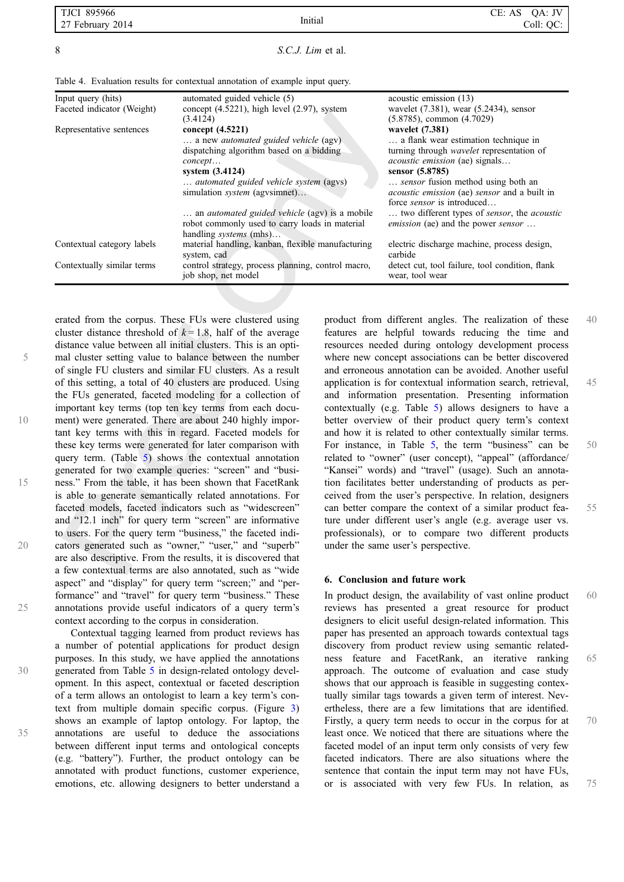<span id="page-11-0"></span>

| TJCI 895966<br>$\sqrt{27}$ February 2014 | Initial           | CE: AS QA: JV<br>Coll: QC: |  |
|------------------------------------------|-------------------|----------------------------|--|
| 8                                        | S.C.J. Lim et al. |                            |  |

| Table 4. Evaluation results for contextual annotation of example input query. |  |
|-------------------------------------------------------------------------------|--|
|-------------------------------------------------------------------------------|--|

| Input query (hits)         | automated guided vehicle (5)                                     | acoustic emission (13)                                     |
|----------------------------|------------------------------------------------------------------|------------------------------------------------------------|
| Faceted indicator (Weight) | concept $(4.5221)$ , high level $(2.97)$ , system                | wavelet (7.381), wear (5.2434), sensor                     |
|                            | (3.4124)                                                         | $(5.8785)$ , common $(4.7029)$                             |
| Representative sentences   | concept $(4.5221)$                                               | wavelet (7.381)                                            |
|                            | a new <i>automated guided vehicle</i> (agv)                      | a flank wear estimation technique in                       |
|                            | dispatching algorithm based on a bidding                         | turning through <i>wavelet</i> representation of           |
|                            | concept                                                          | <i>acoustic emission</i> (ae) signals                      |
|                            | system $(3.4124)$                                                | sensor (5.8785)                                            |
|                            | automated guided vehicle system (agys)                           | <i>sensor</i> fusion method using both an                  |
|                            | simulation <i>system</i> (agysimmet)                             | acoustic emission (ae) sensor and a built in               |
|                            |                                                                  | force <i>sensor</i> is introduced                          |
|                            | an <i>automated guided vehicle</i> (agy) is a mobile             | two different types of <i>sensor</i> , the <i>acoustic</i> |
|                            | robot commonly used to carry loads in material                   | emission (ae) and the power sensor                         |
|                            | handling <i>systems</i> (mhs)                                    |                                                            |
| Contextual category labels | material handling, kanban, flexible manufacturing<br>system, cad | electric discharge machine, process design,<br>carbide     |
| Contextually similar terms | control strategy, process planning, control macro,               | detect cut, tool failure, tool condition, flank            |
|                            | job shop, net model                                              | wear, tool wear                                            |

erated from the corpus. These FUs were clustered using cluster distance threshold of  $k = 1.8$ , half of the average distance value between all initial clusters. This is an opti-5 mal cluster setting value to balance between the number of single FU clusters and similar FU clusters. As a result of this setting, a total of 40 clusters are produced. Using the FUs generated, faceted modeling for a collection of important key terms (top ten key terms from each docu-10 ment) were generated. There are about 240 highly important key terms with this in regard. Faceted models for these key terms were generated for later comparison with query term. (Table  $\overline{5}$  $\overline{5}$  $\overline{5}$ ) shows the contextual annotation generated for two example queries: "screen" and "busi-15 ness." From the table, it has been shown that FacetRank is able to generate semantically related annotations. For faceted models, faceted indicators such as "widescreen" and "12.1 inch" for query term "screen" are informative to users. For the query term "business," the faceted indi-20 cators generated such as "owner," "user," and "superb" are also descriptive. From the results, it is discovered that a few contextual terms are also annotated, such as "wide aspect" and "display" for query term "screen;" and "performance" and "travel" for query term "business." These 25 annotations provide useful indicators of a query term's context according to the corpus in consideration.

Contextual tagging learned from product reviews has a number of potential applications for product design purposes. In this study, we have applied the annotations 30 generated from Table [5](#page-12-0) in design-related ontology development. In this aspect, contextual or faceted description of a term allows an ontologist to learn a key term's context from multiple domain specific corpus. (Figure [3](#page-12-0)) shows an example of laptop ontology. For laptop, the 35 annotations are useful to deduce the associations between different input terms and ontological concepts (e.g. "battery"). Further, the product ontology can be annotated with product functions, customer experience, emotions, etc. allowing designers to better understand a

product from different angles. The realization of these 40 features are helpful towards reducing the time and resources needed during ontology development process where new concept associations can be better discovered and erroneous annotation can be avoided. Another useful application is for contextual information search, retrieval, 45 and information presentation. Presenting information contextually (e.g. Table [5\)](#page-12-0) allows designers to have a better overview of their product query term's context and how it is related to other contextually similar terms. For instance, in Table  $5$ , the term "business" can be  $50$ related to "owner" (user concept), "appeal" (affordance/ "Kansei" words) and "travel" (usage). Such an annotation facilitates better understanding of products as perceived from the user's perspective. In relation, designers can better compare the context of a similar product fea- 55 ture under different user's angle (e.g. average user vs. professionals), or to compare two different products under the same user's perspective.

# 6. Conclusion and future work

In product design, the availability of vast online product  $60$ reviews has presented a great resource for product designers to elicit useful design-related information. This paper has presented an approach towards contextual tags discovery from product review using semantic relatedness feature and FacetRank, an iterative ranking 65 approach. The outcome of evaluation and case study shows that our approach is feasible in suggesting contextually similar tags towards a given term of interest. Nevertheless, there are a few limitations that are identified. Firstly, a query term needs to occur in the corpus for at 70 least once. We noticed that there are situations where the faceted model of an input term only consists of very few faceted indicators. There are also situations where the sentence that contain the input term may not have FUs, or is associated with very few FUs. In relation, as 75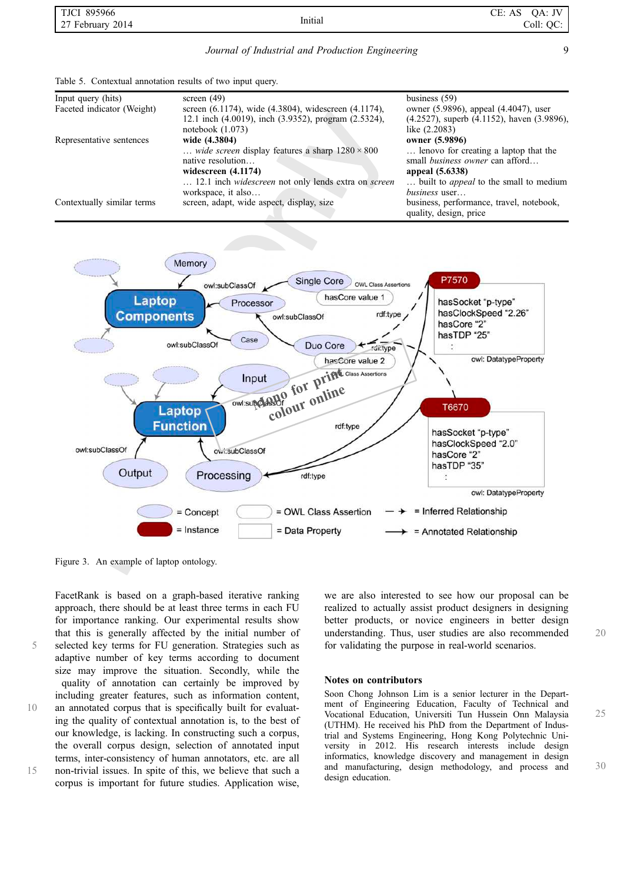# *Journal of Industrial and Production Engineering* example to the 9

<span id="page-12-0"></span>Table 5. Contextual annotation results of two input query.

| Input query (hits)         | screen $(49)$                                              | business $(59)$                                                    |
|----------------------------|------------------------------------------------------------|--------------------------------------------------------------------|
| Faceted indicator (Weight) | screen (6.1174), wide (4.3804), widescreen (4.1174),       | owner (5.9896), appeal (4.4047), user                              |
|                            | 12.1 inch (4.0019), inch (3.9352), program (2.5324),       | $(4.2527)$ , superb $(4.1152)$ , haven $(3.9896)$ ,                |
|                            | notebook $(1.073)$                                         | like $(2.2083)$                                                    |
| Representative sentences   | wide (4.3804)                                              | owner (5.9896)                                                     |
|                            | wide screen display features a sharp $1280 \times 800$     | lenovo for creating a laptop that the                              |
|                            | native resolution                                          | small <i>business owner</i> can afford                             |
|                            | widescreen $(4.1174)$                                      | appeal (5.6338)                                                    |
|                            | 12.1 inch widescreen not only lends extra on <i>screen</i> | built to <i>appeal</i> to the small to medium                      |
|                            | workspace, it also                                         | business user                                                      |
| Contextually similar terms | screen, adapt, wide aspect, display, size                  | business, performance, travel, notebook,<br>quality, design, price |



Figure 3. An example of laptop ontology.

FacetRank is based on a graph-based iterative ranking approach, there should be at least three terms in each FU for importance ranking. Our experimental results show that this is generally affected by the initial number of 5 selected key terms for FU generation. Strategies such as adaptive number of key terms according to document size may improve the situation. Secondly, while the quality of annotation can certainly be improved by including greater features, such as information content, 10 an annotated corpus that is specifically built for evaluating the quality of contextual annotation is, to the best of our knowledge, is lacking. In constructing such a corpus, the overall corpus design, selection of annotated input terms, inter-consistency of human annotators, etc. are all 15 non-trivial issues. In spite of this, we believe that such a corpus is important for future studies. Application wise,

we are also interested to see how our proposal can be realized to actually assist product designers in designing better products, or novice engineers in better design understanding. Thus, user studies are also recommended 20 for validating the purpose in real-world scenarios.

#### Notes on contributors

Soon Chong Johnson Lim is a senior lecturer in the Department of Engineering Education, Faculty of Technical and Vocational Education, Universiti Tun Hussein Onn Malaysia 25 (UTHM). He received his PhD from the Department of Industrial and Systems Engineering, Hong Kong Polytechnic University in 2012. His research interests include design informatics, knowledge discovery and management in design and manufacturing, design methodology, and process and 30 design education.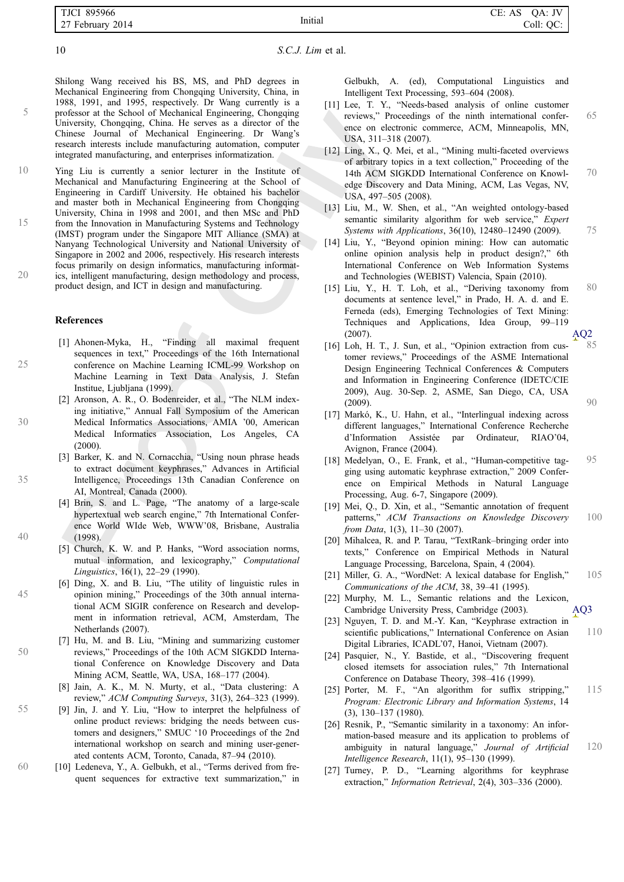<span id="page-13-0"></span>10 *S.C.J. Lim* et al.

Shilong Wang received his BS, MS, and PhD degrees in Mechanical Engineering from Chongqing University, China, in 1988, 1991, and 1995, respectively. Dr Wang currently is a 5 professor at the School of Mechanical Engineering, Chongqing University, Chongqing, China. He serves as a director of the Chinese Journal of Mechanical Engineering. Dr Wang's research interests include manufacturing automation, computer integrated manufacturing, and enterprises informatization.

10 Ying Liu is currently a senior lecturer in the Institute of Mechanical and Manufacturing Engineering at the School of Engineering in Cardiff University. He obtained his bachelor and master both in Mechanical Engineering from Chongqing University, China in 1998 and 2001, and then MSc and PhD 15 from the Innovation in Manufacturing Systems and Technology (IMST) program under the Singapore MIT Alliance (SMA) at Nanyang Technological University and National University of Singapore in 2002 and 2006, respectively. His research interests focus primarily on design informatics, manufacturing informat-20 ics, intelligent manufacturing, design methodology and process, product design, and ICT in design and manufacturing.

## References

- [1] Ahonen-Myka, H., "Finding all maximal frequent sequences in text," Proceedings of the 16th International 25 conference on Machine Learning ICML-99 Workshop on Machine Learning in Text Data Analysis, J. Stefan Institue, Ljubljana (1999).
- [2] Aronson, A. R., O. Bodenreider, et al., "The NLM indexing initiative," Annual Fall Symposium of the American 30 Medical Informatics Associations, AMIA '00, American Medical Informatics Association, Los Angeles, CA (2000).
- [3] Barker, K. and N. Cornacchia, "Using noun phrase heads to extract document keyphrases," Advances in Artificial 35 Intelligence, Proceedings 13th Canadian Conference on AI, Montreal, Canada (2000).
- [4] Brin, S. and L. Page, "The anatomy of a large-scale hypertextual web search engine," 7th International Conference World WIde Web, WWW'08, Brisbane, Australia 40 (1998).
	- [5] Church, K. W. and P. Hanks, "Word association norms, mutual information, and lexicography," *Computational Linguistics*, 16(1), 22–29 (1990).
- [6] Ding, X. and B. Liu, "The utility of linguistic rules in 45 opinion mining," Proceedings of the 30th annual international ACM SIGIR conference on Research and development in information retrieval, ACM, Amsterdam, The Netherlands (2007).
- [7] Hu, M. and B. Liu, "Mining and summarizing customer 50 reviews," Proceedings of the 10th ACM SIGKDD International Conference on Knowledge Discovery and Data Mining ACM, Seattle, WA, USA, 168–177 (2004).
	- [8] Jain, A. K., M. N. Murty, et al., "Data clustering: A review," *ACM Computing Surveys*, 31(3), 264–323 (1999).
- 55 [9] Jin, J. and Y. Liu, "How to interpret the helpfulness of online product reviews: bridging the needs between customers and designers," SMUC '10 Proceedings of the 2nd international workshop on search and mining user-generated contents ACM, Toronto, Canada, 87–94 (2010).
- 60 [10] Ledeneva, Y., A. Gelbukh, et al., "Terms derived from frequent sequences for extractive text summarization," in

Gelbukh, A. (ed), Computational Linguistics and Intelligent Text Processing, 593–604 (2008).

- [11] Lee, T. Y., "Needs-based analysis of online customer reviews," Proceedings of the ninth international confer- 65 ence on electronic commerce, ACM, Minneapolis, MN, USA, 311–318 (2007).
- [12] Ling, X., Q. Mei, et al., "Mining multi-faceted overviews of arbitrary topics in a text collection," Proceeding of the 14th ACM SIGKDD International Conference on Knowl- 70 edge Discovery and Data Mining, ACM, Las Vegas, NV, USA, 497–505 (2008).
- [13] Liu, M., W. Shen, et al., "An weighted ontology-based semantic similarity algorithm for web service," *Expert Systems with Applications*, 36(10), 12480–12490 (2009). 75
- [14] Liu, Y., "Beyond opinion mining: How can automatic online opinion analysis help in product design?," 6th International Conference on Web Information Systems and Technologies (WEBIST) Valencia, Spain (2010).
- [15] Liu, Y., H. T. Loh, et al., "Deriving taxonomy from 80 documents at sentence level," in Prado, H. A. d. and E. Ferneda (eds), Emerging Technologies of Text Mining: Techniques and Applications, Idea Group, 99–119 (2007). [AQ2](#page-2-0)
- [16] Loh, H. T., J. Sun, et al., "Opinion extraction from cus- 85 tomer reviews," Proceedings of the ASME International Design Engineering Technical Conferences & Computers and Information in Engineering Conference (IDETC/CIE 2009), Aug. 30-Sep. 2, ASME, San Diego, CA, USA  $(2009)$ . 90
- [17] Markó, K., U. Hahn, et al., "Interlingual indexing across different languages," International Conference Recherche d'Information Assistée par Ordinateur, RIAO'04, Avignon, France (2004).
- [18] Medelyan, O., E. Frank, et al., "Human-competitive tag- 95 ging using automatic keyphrase extraction," 2009 Conference on Empirical Methods in Natural Language Processing, Aug. 6-7, Singapore (2009).
- [19] Mei, Q., D. Xin, et al., "Semantic annotation of frequent patterns," ACM Transactions on Knowledge Discovery 100 *from Data*, 1(3), 11–30 (2007).
- [20] Mihalcea, R. and P. Tarau, "TextRank–bringing order into texts," Conference on Empirical Methods in Natural Language Processing, Barcelona, Spain, 4 (2004).
- [21] Miller, G. A., "WordNet: A lexical database for English," 105 *Communications of the ACM*, 38, 39–41 (1995).
- [22] Murphy, M. L., Semantic relations and the Lexicon, Cambridge University Press, Cambridge (2003). [AQ3](#page-2-0)
- [23] Nguyen, T. D. and M.-Y. Kan, "Keyphrase extraction in scientific publications," International Conference on Asian 110 Digital Libraries, ICADL'07, Hanoi, Vietnam (2007).
- [24] Pasquier, N., Y. Bastide, et al., "Discovering frequent closed itemsets for association rules," 7th International Conference on Database Theory, 398–416 (1999).
- [25] Porter, M. F., "An algorithm for suffix stripping," 115 *Program: Electronic Library and Information Systems*, 14 (3), 130–137 (1980).
- [26] Resnik, P., "Semantic similarity in a taxonomy: An information-based measure and its application to problems of ambiguity in natural language," Journal of Artificial 120 *Intelligence Research*, 11(1), 95–130 (1999).
- [27] Turney, P. D., "Learning algorithms for keyphrase extraction," *Information Retrieval*, 2(4), 303–336 (2000).